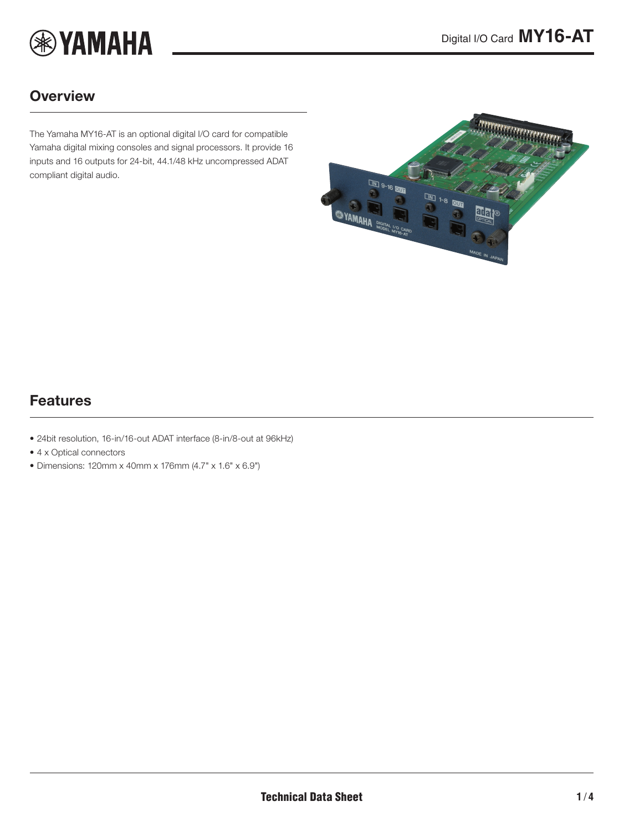

# **Overview**

The Yamaha MY16-AT is an optional digital I/O card for compatible Yamaha digital mixing consoles and signal processors. It provide 16 inputs and 16 outputs for 24-bit, 44.1/48 kHz uncompressed ADAT compliant digital audio.

<span id="page-0-0"></span>

### Features

- 24bit resolution, 16-in/16-out ADAT interface (8-in/8-out at 96kHz)
- 4 x Optical connectors
- Dimensions: 120mm x 40mm x 176mm (4.7" x 1.6" x 6.9")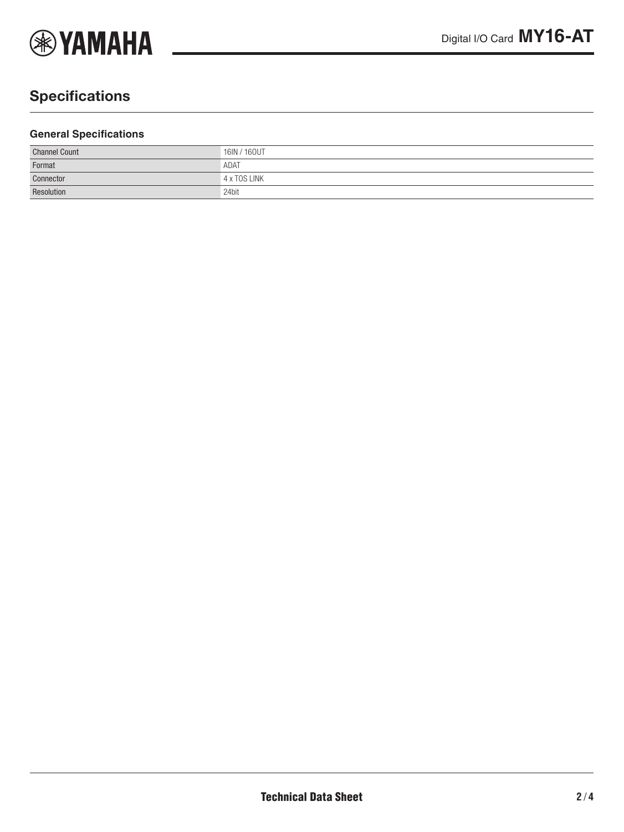

# **Specifications**

#### **General Specifications**

| <b>Channel Count</b> | 16IN / 160UT |
|----------------------|--------------|
| Format               | ADAT         |
| Connector            | 4 x TOS LINK |
| Resolution           | 24bit        |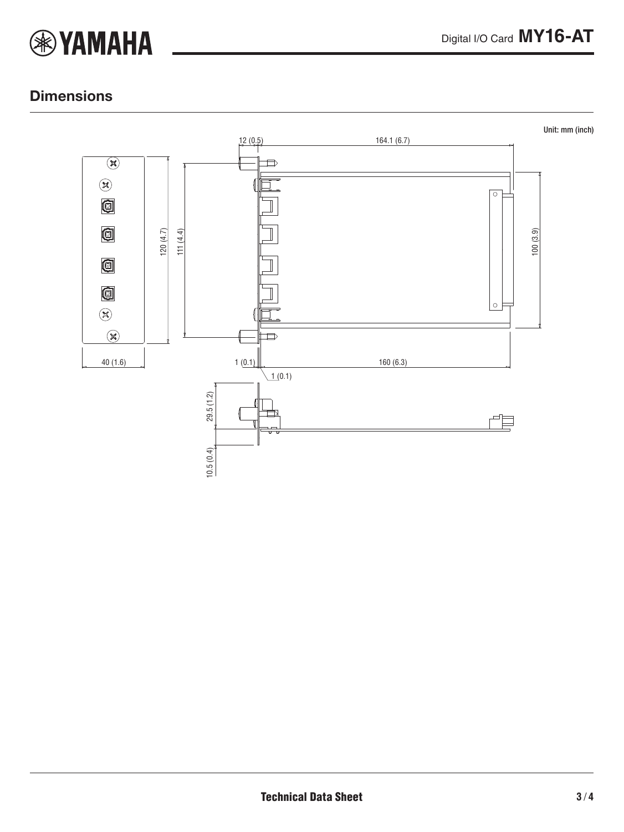

### **Dimensions**